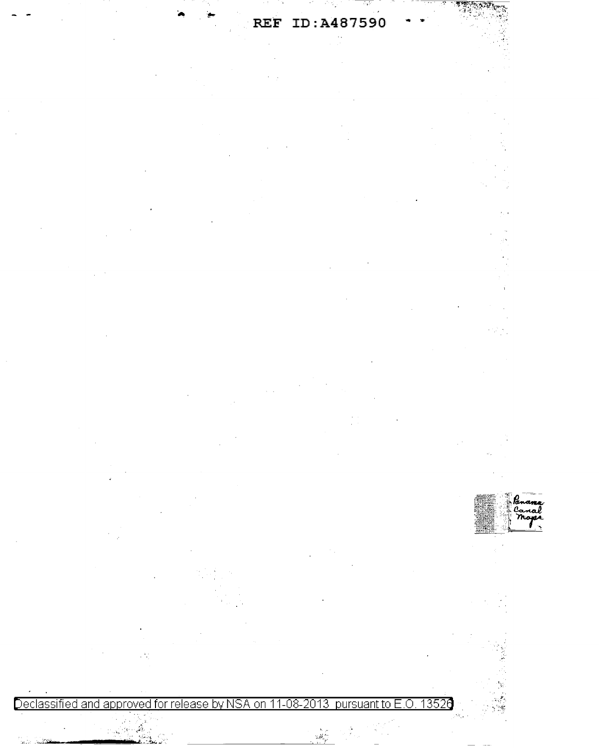# **REF ID: A487590**

Declassified and approved for release by NSA on 11-08-2013 pursuant to E.O. 13526

بتمايية

ra an A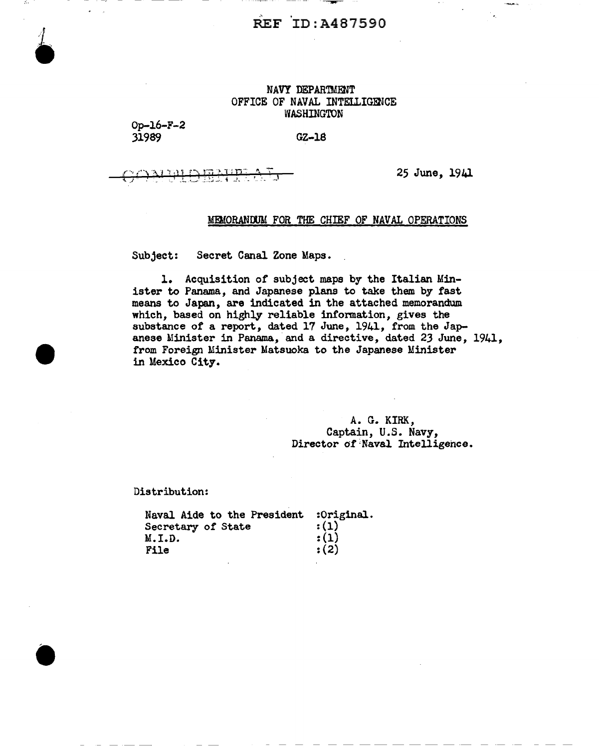#### NAVY DEPARTMENT OFFICE OF NAVAL INTELLIGENCE WASHING'ION

Op-16-F-2 31989

GZ-18

25 June, 1941

#### MEMORANDUM FOR THE CHIEF OF NAVAL OPERATIONS

Subject: Secret Canal Zone Mapa.

1. Acquisition of subject maps by the Italian Minister to Panama, and Japanese plans to take them by fast means to Japan, are indicated in the attached memorandum which, based on highly reliable information, gives the substance of a report, dated 17 June, 1941, from the Japanese Minister in Panama, and a directive, dated 23 June, 1941, from Foreign Minister Matsuoka to the Japanese Minister in Mexico City.

> A. G. KIRK, Captain, U.S. Navy, Director of Naval Intelligence.

Distribution:

•

•

| <b>Naval Aide to the President</b> | :Original. |
|------------------------------------|------------|
| Secretary of State                 | : (1)      |
| M.I.D.                             | : (1)      |
| File                               | : (2)      |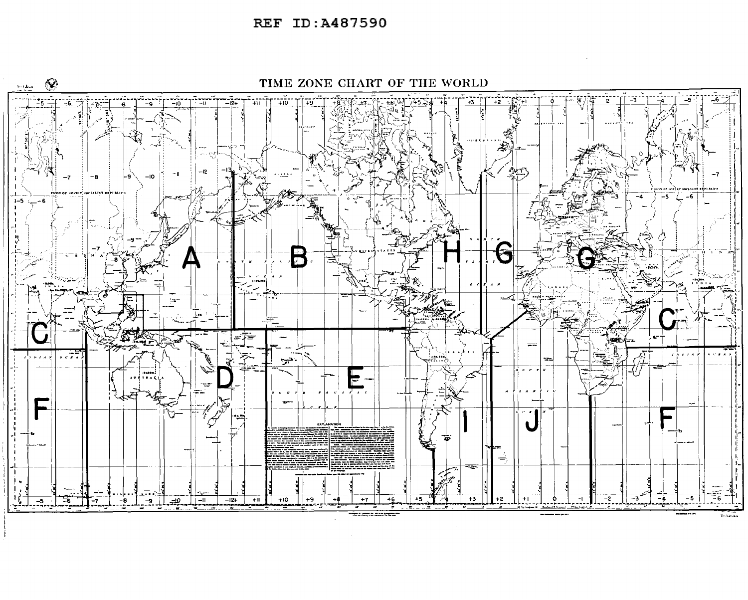### REF ID:A487590

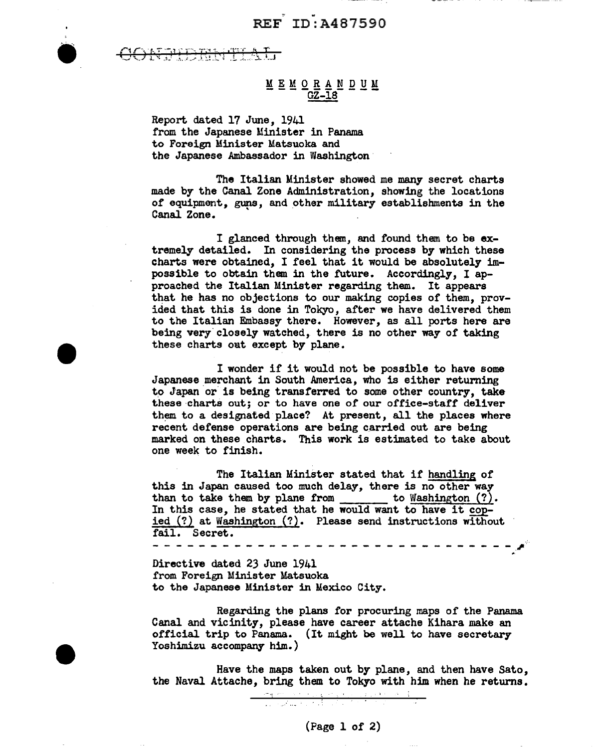<del>Thip kin it a t</del>

•

•

# $\overline{M}$   $\overline{E}$   $\overline{M}$   $\overline{O}$   $\overline{E}$   $\overline{A}$   $\overline{M}$   $\overline{N}$   $\overline{D}$   $\overline{\overline{M}}$   $\overline{M}$

Report. dated 17 June, 1941 from the Japanese Minister in Panama to Foreign Minister Matsuoka and the Japanese Ambassador in Washington

The Italian Minister showed me many secret charts made by the Canal Zone Administration, showing the locations of equipment, guns, and other military establishments in the Canal Zone.

I glanced through them, and found them to be extremely detailed. In considering the process by which these charts were obtained, I feel that it would be absolutely impossible to obtain them in the future. Accordingly, I approached the Italian Minister regarding them. It appears that he has no objections to our making copies of them, provided that this is done in Tokyo, after we have delivered them to the Italian Embassy there. However, as all ports here are being very closely watched, there is no other way of taking these charts out except by plane.

<sup>I</sup>wonder if it would not be possible to have some Japanese merchant in South America, who is either returning to Japan or is being transferred to some other country, take these charts out; or to have one of our office-staff deliver them to a designated place? At present, all the places where recent defense operations are being carried out are being marked on these charts. This work is estimated to take about one week to finish.

The Italian Minister stated that if handling of this in Japan caused too much delay, there is no other way than to take them by plane from  $\quad$  to Washington  $(?)$ . In this case, he stated that he would want to have it copied (?) at Washington (?). Please send instructions without fail. Secret.

Directive dated 23 June 1941 from Foreign Minister Matsuoka to the Japanese Minister in Mexico City.

- - - - - - - - - - - - - - - .

Regarding the plans for procuring maps of the Panama Canal and vicinity, please have career attache Kihara make an official trip to Panama. (It might be well to have secretary Yoshimizu accompany him.)

Have the maps taken out by plane, and then have Sato, the Naval Attache, bring them to Tokyo with him when he returns.